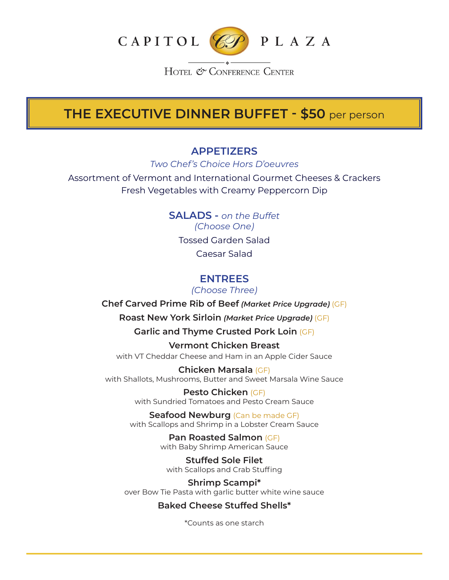

HOTEL & CONFERENCE CENTER

# **THE EXECUTIVE DINNER BUFFET - \$50** per person

## **APPETIZERS**

*Two Chef's Choice Hors D'oeuvres*

Assortment of Vermont and International Gourmet Cheeses & Crackers Fresh Vegetables with Creamy Peppercorn Dip

> **SALADS -** *on the Buffet (Choose One)* Tossed Garden Salad Caesar Salad

## **ENTREES**

*(Choose Three)*

**Chef Carved Prime Rib of Beef** *(Market Price Upgrade)* (GF)

**Roast New York Sirloin** *(Market Price Upgrade)* (GF)

**Garlic and Thyme Crusted Pork Loin** (GF)

**Vermont Chicken Breast** with VT Cheddar Cheese and Ham in an Apple Cider Sauce

**Chicken Marsala** (GF) with Shallots, Mushrooms, Butter and Sweet Marsala Wine Sauce

> **Pesto Chicken** (GF) with Sundried Tomatoes and Pesto Cream Sauce

**Seafood Newburg** (Can be made GF) with Scallops and Shrimp in a Lobster Cream Sauce

> **Pan Roasted Salmon** (GF) with Baby Shrimp American Sauce

**Stuffed Sole Filet** with Scallops and Crab Stuffing

**Shrimp Scampi\*** over Bow Tie Pasta with garlic butter white wine sauce

### **Baked Cheese Stuffed Shells\***

\*Counts as one starch